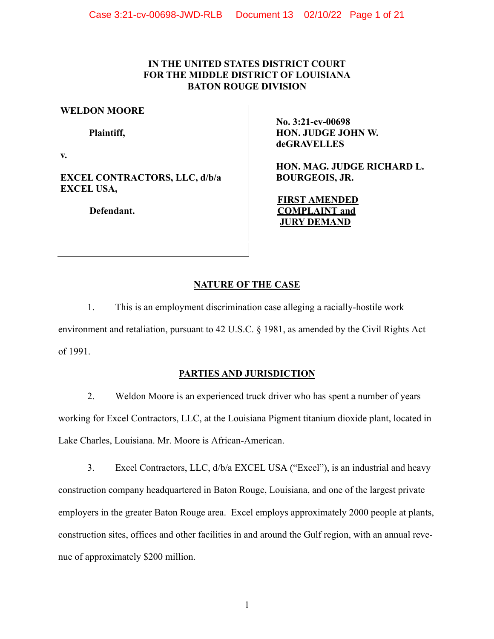# **IN THE UNITED STATES DISTRICT COURT FOR THE MIDDLE DISTRICT OF LOUISIANA BATON ROUGE DIVISION**

### **WELDON MOORE**

**Plaintiff,**

**v.**

**EXCEL CONTRACTORS, LLC, d/b/a EXCEL USA,**

**Defendant.**

**No. 3:21-cv-00698 HON. JUDGE JOHN W. deGRAVELLES**

**HON. MAG. JUDGE RICHARD L. BOURGEOIS, JR.** 

**FIRST AMENDED COMPLAINT and JURY DEMAND**

# **NATURE OF THE CASE**

1. This is an employment discrimination case alleging a racially-hostile work environment and retaliation, pursuant to 42 U.S.C. § 1981, as amended by the Civil Rights Act of 1991.

# **PARTIES AND JURISDICTION**

2. Weldon Moore is an experienced truck driver who has spent a number of years working for Excel Contractors, LLC, at the Louisiana Pigment titanium dioxide plant, located in Lake Charles, Louisiana. Mr. Moore is African-American.

3. Excel Contractors, LLC, d/b/a EXCEL USA ("Excel"), is an industrial and heavy construction company headquartered in Baton Rouge, Louisiana, and one of the largest private employers in the greater Baton Rouge area. Excel employs approximately 2000 people at plants, construction sites, offices and other facilities in and around the Gulf region, with an annual revenue of approximately \$200 million.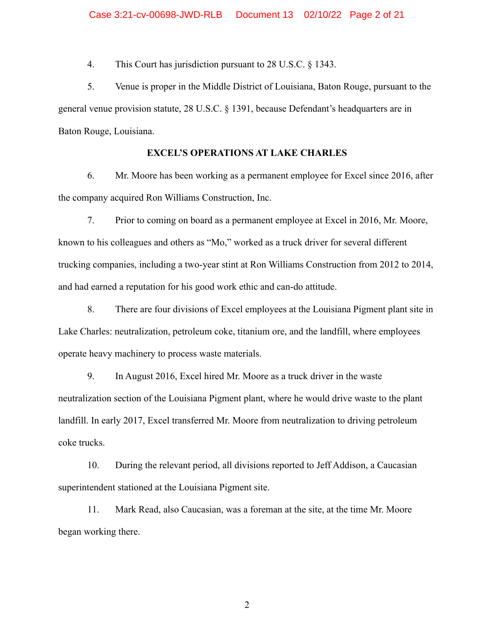4. This Court has jurisdiction pursuant to 28 U.S.C. § 1343.

5. Venue is proper in the Middle District of Louisiana, Baton Rouge, pursuant to the general venue provision statute, 28 U.S.C. § 1391, because Defendant's headquarters are in Baton Rouge, Louisiana.

# **EXCEL'S OPERATIONS AT LAKE CHARLES**

6. Mr. Moore has been working as a permanent employee for Excel since 2016, after the company acquired Ron Williams Construction, Inc.

7. Prior to coming on board as a permanent employee at Excel in 2016, Mr. Moore, known to his colleagues and others as "Mo," worked as a truck driver for several different trucking companies, including a two-year stint at Ron Williams Construction from 2012 to 2014, and had earned a reputation for his good work ethic and can-do attitude.

8. There are four divisions of Excel employees at the Louisiana Pigment plant site in Lake Charles: neutralization, petroleum coke, titanium ore, and the landfill, where employees operate heavy machinery to process waste materials.

9. In August 2016, Excel hired Mr. Moore as a truck driver in the waste neutralization section of the Louisiana Pigment plant, where he would drive waste to the plant landfill. In early 2017, Excel transferred Mr. Moore from neutralization to driving petroleum coke trucks.

10. During the relevant period, all divisions reported to Jeff Addison, a Caucasian superintendent stationed at the Louisiana Pigment site.

11. Mark Read, also Caucasian, was a foreman at the site, at the time Mr. Moore began working there.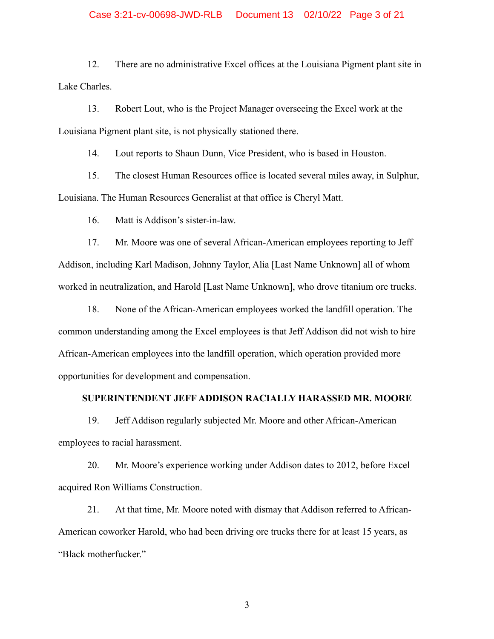12. There are no administrative Excel offices at the Louisiana Pigment plant site in Lake Charles.

13. Robert Lout, who is the Project Manager overseeing the Excel work at the Louisiana Pigment plant site, is not physically stationed there.

14. Lout reports to Shaun Dunn, Vice President, who is based in Houston.

15. The closest Human Resources office is located several miles away, in Sulphur, Louisiana. The Human Resources Generalist at that office is Cheryl Matt.

16. Matt is Addison's sister-in-law.

17. Mr. Moore was one of several African-American employees reporting to Jeff Addison, including Karl Madison, Johnny Taylor, Alia [Last Name Unknown] all of whom worked in neutralization, and Harold [Last Name Unknown], who drove titanium ore trucks.

18. None of the African-American employees worked the landfill operation. The common understanding among the Excel employees is that Jeff Addison did not wish to hire African-American employees into the landfill operation, which operation provided more opportunities for development and compensation.

#### **SUPERINTENDENT JEFF ADDISON RACIALLY HARASSED MR. MOORE**

19. Jeff Addison regularly subjected Mr. Moore and other African-American employees to racial harassment.

20. Mr. Moore's experience working under Addison dates to 2012, before Excel acquired Ron Williams Construction.

21. At that time, Mr. Moore noted with dismay that Addison referred to African-American coworker Harold, who had been driving ore trucks there for at least 15 years, as "Black motherfucker."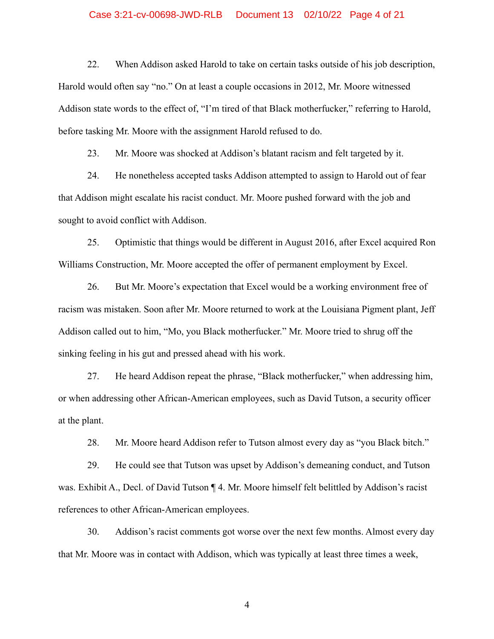#### Case 3:21-cv-00698-JWD-RLB Document 13 02/10/22 Page 4 of 21

22. When Addison asked Harold to take on certain tasks outside of his job description, Harold would often say "no." On at least a couple occasions in 2012, Mr. Moore witnessed Addison state words to the effect of, "I'm tired of that Black motherfucker," referring to Harold, before tasking Mr. Moore with the assignment Harold refused to do.

23. Mr. Moore was shocked at Addison's blatant racism and felt targeted by it.

24. He nonetheless accepted tasks Addison attempted to assign to Harold out of fear that Addison might escalate his racist conduct. Mr. Moore pushed forward with the job and sought to avoid conflict with Addison.

25. Optimistic that things would be different in August 2016, after Excel acquired Ron Williams Construction, Mr. Moore accepted the offer of permanent employment by Excel.

26. But Mr. Moore's expectation that Excel would be a working environment free of racism was mistaken. Soon after Mr. Moore returned to work at the Louisiana Pigment plant, Jeff Addison called out to him, "Mo, you Black motherfucker." Mr. Moore tried to shrug off the sinking feeling in his gut and pressed ahead with his work.

27. He heard Addison repeat the phrase, "Black motherfucker," when addressing him, or when addressing other African-American employees, such as David Tutson, a security officer at the plant.

28. Mr. Moore heard Addison refer to Tutson almost every day as "you Black bitch."

29. He could see that Tutson was upset by Addison's demeaning conduct, and Tutson was. Exhibit A., Decl. of David Tutson ¶ 4. Mr. Moore himself felt belittled by Addison's racist references to other African-American employees.

30. Addison's racist comments got worse over the next few months. Almost every day that Mr. Moore was in contact with Addison, which was typically at least three times a week,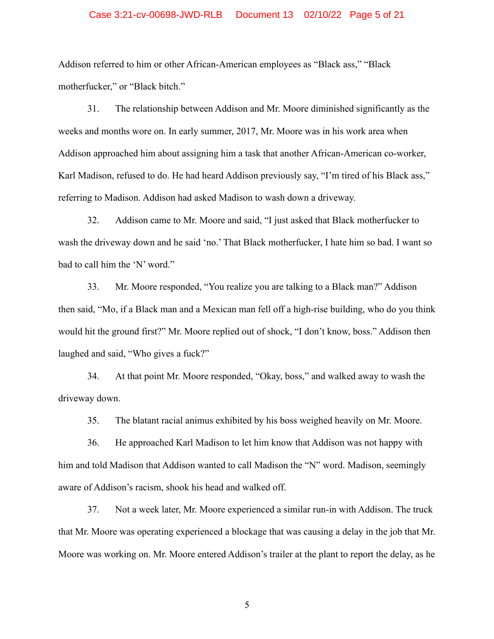#### Case 3:21-cv-00698-JWD-RLB Document 13 02/10/22 Page 5 of 21

Addison referred to him or other African-American employees as "Black ass," "Black motherfucker," or "Black bitch."

31. The relationship between Addison and Mr. Moore diminished significantly as the weeks and months wore on. In early summer, 2017, Mr. Moore was in his work area when Addison approached him about assigning him a task that another African-American co-worker, Karl Madison, refused to do. He had heard Addison previously say, "I'm tired of his Black ass," referring to Madison. Addison had asked Madison to wash down a driveway.

32. Addison came to Mr. Moore and said, "I just asked that Black motherfucker to wash the driveway down and he said 'no.' That Black motherfucker, I hate him so bad. I want so bad to call him the 'N' word."

33. Mr. Moore responded, "You realize you are talking to a Black man?" Addison then said, "Mo, if a Black man and a Mexican man fell off a high-rise building, who do you think would hit the ground first?" Mr. Moore replied out of shock, "I don't know, boss." Addison then laughed and said, "Who gives a fuck?"

34. At that point Mr. Moore responded, "Okay, boss," and walked away to wash the driveway down.

35. The blatant racial animus exhibited by his boss weighed heavily on Mr. Moore.

36. He approached Karl Madison to let him know that Addison was not happy with him and told Madison that Addison wanted to call Madison the "N" word. Madison, seemingly aware of Addison's racism, shook his head and walked off.

37. Not a week later, Mr. Moore experienced a similar run-in with Addison. The truck that Mr. Moore was operating experienced a blockage that was causing a delay in the job that Mr. Moore was working on. Mr. Moore entered Addison's trailer at the plant to report the delay, as he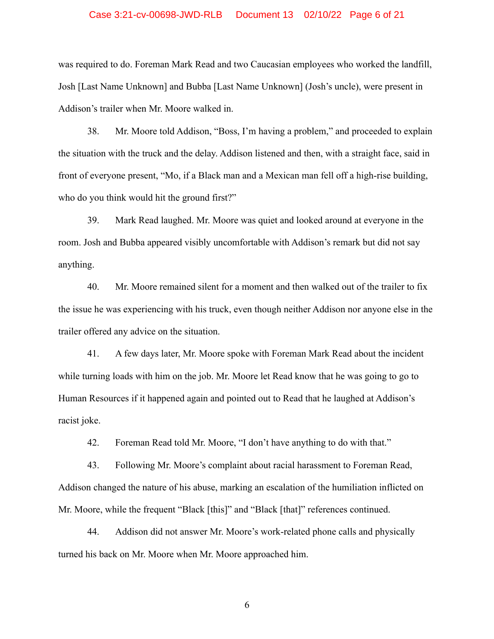#### Case 3:21-cv-00698-JWD-RLB Document 13 02/10/22 Page 6 of 21

was required to do. Foreman Mark Read and two Caucasian employees who worked the landfill, Josh [Last Name Unknown] and Bubba [Last Name Unknown] (Josh's uncle), were present in Addison's trailer when Mr. Moore walked in.

38. Mr. Moore told Addison, "Boss, I'm having a problem," and proceeded to explain the situation with the truck and the delay. Addison listened and then, with a straight face, said in front of everyone present, "Mo, if a Black man and a Mexican man fell off a high-rise building, who do you think would hit the ground first?"

39. Mark Read laughed. Mr. Moore was quiet and looked around at everyone in the room. Josh and Bubba appeared visibly uncomfortable with Addison's remark but did not say anything.

40. Mr. Moore remained silent for a moment and then walked out of the trailer to fix the issue he was experiencing with his truck, even though neither Addison nor anyone else in the trailer offered any advice on the situation.

41. A few days later, Mr. Moore spoke with Foreman Mark Read about the incident while turning loads with him on the job. Mr. Moore let Read know that he was going to go to Human Resources if it happened again and pointed out to Read that he laughed at Addison's racist joke.

42. Foreman Read told Mr. Moore, "I don't have anything to do with that."

43. Following Mr. Moore's complaint about racial harassment to Foreman Read, Addison changed the nature of his abuse, marking an escalation of the humiliation inflicted on Mr. Moore, while the frequent "Black [this]" and "Black [that]" references continued.

44. Addison did not answer Mr. Moore's work-related phone calls and physically turned his back on Mr. Moore when Mr. Moore approached him.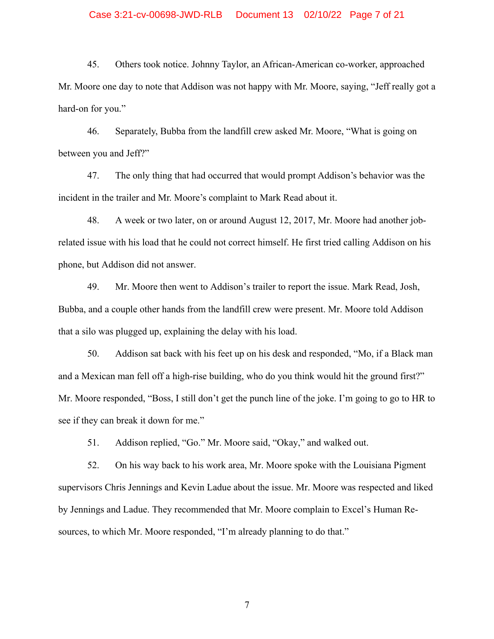#### Case 3:21-cv-00698-JWD-RLB Document 13 02/10/22 Page 7 of 21

45. Others took notice. Johnny Taylor, an African-American co-worker, approached Mr. Moore one day to note that Addison was not happy with Mr. Moore, saying, "Jeff really got a hard-on for you."

46. Separately, Bubba from the landfill crew asked Mr. Moore, "What is going on between you and Jeff?"

47. The only thing that had occurred that would prompt Addison's behavior was the incident in the trailer and Mr. Moore's complaint to Mark Read about it.

48. A week or two later, on or around August 12, 2017, Mr. Moore had another jobrelated issue with his load that he could not correct himself. He first tried calling Addison on his phone, but Addison did not answer.

49. Mr. Moore then went to Addison's trailer to report the issue. Mark Read, Josh, Bubba, and a couple other hands from the landfill crew were present. Mr. Moore told Addison that a silo was plugged up, explaining the delay with his load.

50. Addison sat back with his feet up on his desk and responded, "Mo, if a Black man and a Mexican man fell off a high-rise building, who do you think would hit the ground first?" Mr. Moore responded, "Boss, I still don't get the punch line of the joke. I'm going to go to HR to see if they can break it down for me."

51. Addison replied, "Go." Mr. Moore said, "Okay," and walked out.

52. On his way back to his work area, Mr. Moore spoke with the Louisiana Pigment supervisors Chris Jennings and Kevin Ladue about the issue. Mr. Moore was respected and liked by Jennings and Ladue. They recommended that Mr. Moore complain to Excel's Human Resources, to which Mr. Moore responded, "I'm already planning to do that."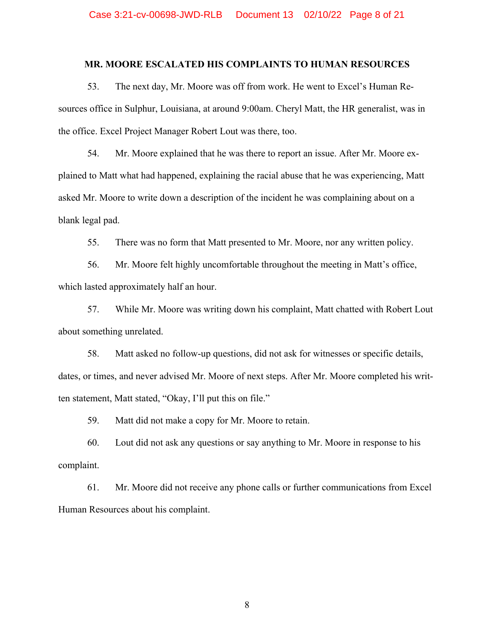#### **MR. MOORE ESCALATED HIS COMPLAINTS TO HUMAN RESOURCES**

53. The next day, Mr. Moore was off from work. He went to Excel's Human Resources office in Sulphur, Louisiana, at around 9:00am. Cheryl Matt, the HR generalist, was in the office. Excel Project Manager Robert Lout was there, too.

54. Mr. Moore explained that he was there to report an issue. After Mr. Moore explained to Matt what had happened, explaining the racial abuse that he was experiencing, Matt asked Mr. Moore to write down a description of the incident he was complaining about on a blank legal pad.

55. There was no form that Matt presented to Mr. Moore, nor any written policy.

56. Mr. Moore felt highly uncomfortable throughout the meeting in Matt's office, which lasted approximately half an hour.

57. While Mr. Moore was writing down his complaint, Matt chatted with Robert Lout about something unrelated.

58. Matt asked no follow-up questions, did not ask for witnesses or specific details, dates, or times, and never advised Mr. Moore of next steps. After Mr. Moore completed his written statement, Matt stated, "Okay, I'll put this on file."

59. Matt did not make a copy for Mr. Moore to retain.

60. Lout did not ask any questions or say anything to Mr. Moore in response to his complaint.

61. Mr. Moore did not receive any phone calls or further communications from Excel Human Resources about his complaint.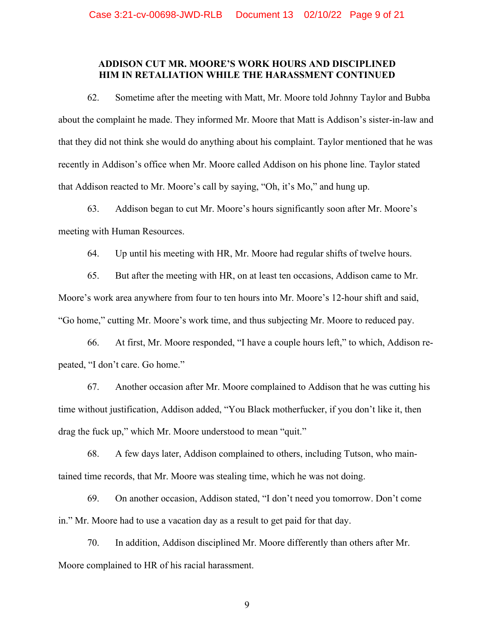### **ADDISON CUT MR. MOORE'S WORK HOURS AND DISCIPLINED HIM IN RETALIATION WHILE THE HARASSMENT CONTINUED**

62. Sometime after the meeting with Matt, Mr. Moore told Johnny Taylor and Bubba about the complaint he made. They informed Mr. Moore that Matt is Addison's sister-in-law and that they did not think she would do anything about his complaint. Taylor mentioned that he was recently in Addison's office when Mr. Moore called Addison on his phone line. Taylor stated that Addison reacted to Mr. Moore's call by saying, "Oh, it's Mo," and hung up.

63. Addison began to cut Mr. Moore's hours significantly soon after Mr. Moore's meeting with Human Resources.

64. Up until his meeting with HR, Mr. Moore had regular shifts of twelve hours.

65. But after the meeting with HR, on at least ten occasions, Addison came to Mr. Moore's work area anywhere from four to ten hours into Mr. Moore's 12-hour shift and said, "Go home," cutting Mr. Moore's work time, and thus subjecting Mr. Moore to reduced pay.

66. At first, Mr. Moore responded, "I have a couple hours left," to which, Addison repeated, "I don't care. Go home."

67. Another occasion after Mr. Moore complained to Addison that he was cutting his time without justification, Addison added, "You Black motherfucker, if you don't like it, then drag the fuck up," which Mr. Moore understood to mean "quit."

68. A few days later, Addison complained to others, including Tutson, who maintained time records, that Mr. Moore was stealing time, which he was not doing.

69. On another occasion, Addison stated, "I don't need you tomorrow. Don't come in." Mr. Moore had to use a vacation day as a result to get paid for that day.

70. In addition, Addison disciplined Mr. Moore differently than others after Mr. Moore complained to HR of his racial harassment.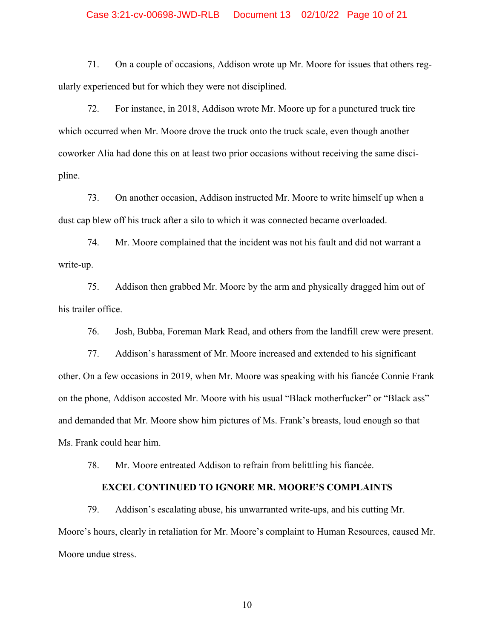#### Case 3:21-cv-00698-JWD-RLB Document 13 02/10/22 Page 10 of 21

71. On a couple of occasions, Addison wrote up Mr. Moore for issues that others regularly experienced but for which they were not disciplined.

72. For instance, in 2018, Addison wrote Mr. Moore up for a punctured truck tire which occurred when Mr. Moore drove the truck onto the truck scale, even though another coworker Alia had done this on at least two prior occasions without receiving the same discipline.

73. On another occasion, Addison instructed Mr. Moore to write himself up when a dust cap blew off his truck after a silo to which it was connected became overloaded.

74. Mr. Moore complained that the incident was not his fault and did not warrant a write-up.

75. Addison then grabbed Mr. Moore by the arm and physically dragged him out of his trailer office.

76. Josh, Bubba, Foreman Mark Read, and others from the landfill crew were present.

77. Addison's harassment of Mr. Moore increased and extended to his significant other. On a few occasions in 2019, when Mr. Moore was speaking with his fiancée Connie Frank on the phone, Addison accosted Mr. Moore with his usual "Black motherfucker" or "Black ass" and demanded that Mr. Moore show him pictures of Ms. Frank's breasts, loud enough so that Ms. Frank could hear him.

78. Mr. Moore entreated Addison to refrain from belittling his fiancée.

### **EXCEL CONTINUED TO IGNORE MR. MOORE'S COMPLAINTS**

79. Addison's escalating abuse, his unwarranted write-ups, and his cutting Mr. Moore's hours, clearly in retaliation for Mr. Moore's complaint to Human Resources, caused Mr. Moore undue stress.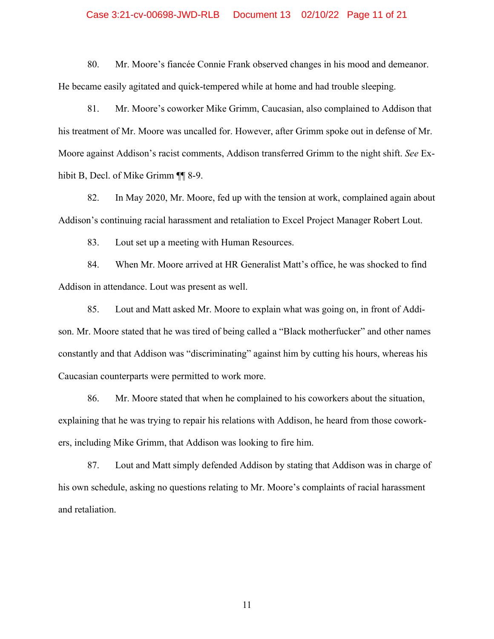#### Case 3:21-cv-00698-JWD-RLB Document 13 02/10/22 Page 11 of 21

80. Mr. Moore's fiancée Connie Frank observed changes in his mood and demeanor. He became easily agitated and quick-tempered while at home and had trouble sleeping.

81. Mr. Moore's coworker Mike Grimm, Caucasian, also complained to Addison that his treatment of Mr. Moore was uncalled for. However, after Grimm spoke out in defense of Mr. Moore against Addison's racist comments, Addison transferred Grimm to the night shift. *See* Exhibit B, Decl. of Mike Grimm ¶¶ 8-9.

82. In May 2020, Mr. Moore, fed up with the tension at work, complained again about Addison's continuing racial harassment and retaliation to Excel Project Manager Robert Lout.

83. Lout set up a meeting with Human Resources.

84. When Mr. Moore arrived at HR Generalist Matt's office, he was shocked to find Addison in attendance. Lout was present as well.

85. Lout and Matt asked Mr. Moore to explain what was going on, in front of Addison. Mr. Moore stated that he was tired of being called a "Black motherfucker" and other names constantly and that Addison was "discriminating" against him by cutting his hours, whereas his Caucasian counterparts were permitted to work more.

86. Mr. Moore stated that when he complained to his coworkers about the situation, explaining that he was trying to repair his relations with Addison, he heard from those coworkers, including Mike Grimm, that Addison was looking to fire him.

87. Lout and Matt simply defended Addison by stating that Addison was in charge of his own schedule, asking no questions relating to Mr. Moore's complaints of racial harassment and retaliation.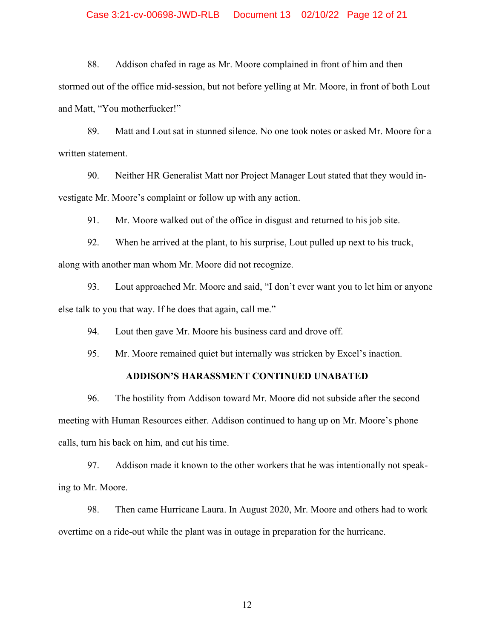### Case 3:21-cv-00698-JWD-RLB Document 13 02/10/22 Page 12 of 21

88. Addison chafed in rage as Mr. Moore complained in front of him and then stormed out of the office mid-session, but not before yelling at Mr. Moore, in front of both Lout and Matt, "You motherfucker!"

89. Matt and Lout sat in stunned silence. No one took notes or asked Mr. Moore for a written statement.

90. Neither HR Generalist Matt nor Project Manager Lout stated that they would investigate Mr. Moore's complaint or follow up with any action.

91. Mr. Moore walked out of the office in disgust and returned to his job site.

92. When he arrived at the plant, to his surprise, Lout pulled up next to his truck, along with another man whom Mr. Moore did not recognize.

93. Lout approached Mr. Moore and said, "I don't ever want you to let him or anyone else talk to you that way. If he does that again, call me."

94. Lout then gave Mr. Moore his business card and drove off.

95. Mr. Moore remained quiet but internally was stricken by Excel's inaction.

### **ADDISON'S HARASSMENT CONTINUED UNABATED**

96. The hostility from Addison toward Mr. Moore did not subside after the second meeting with Human Resources either. Addison continued to hang up on Mr. Moore's phone calls, turn his back on him, and cut his time.

97. Addison made it known to the other workers that he was intentionally not speaking to Mr. Moore.

98. Then came Hurricane Laura. In August 2020, Mr. Moore and others had to work overtime on a ride-out while the plant was in outage in preparation for the hurricane.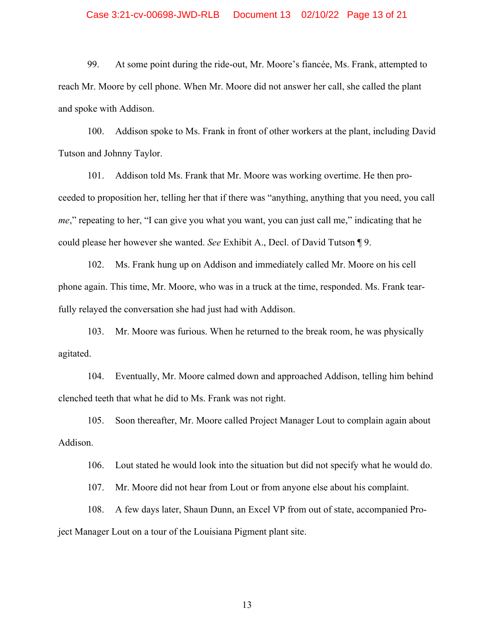#### Case 3:21-cv-00698-JWD-RLB Document 13 02/10/22 Page 13 of 21

99. At some point during the ride-out, Mr. Moore's fiancée, Ms. Frank, attempted to reach Mr. Moore by cell phone. When Mr. Moore did not answer her call, she called the plant and spoke with Addison.

100. Addison spoke to Ms. Frank in front of other workers at the plant, including David Tutson and Johnny Taylor.

101. Addison told Ms. Frank that Mr. Moore was working overtime. He then proceeded to proposition her, telling her that if there was "anything, anything that you need, you call *me*," repeating to her, "I can give you what you want, you can just call me," indicating that he could please her however she wanted. *See* Exhibit A., Decl. of David Tutson ¶ 9.

102. Ms. Frank hung up on Addison and immediately called Mr. Moore on his cell phone again. This time, Mr. Moore, who was in a truck at the time, responded. Ms. Frank tearfully relayed the conversation she had just had with Addison.

103. Mr. Moore was furious. When he returned to the break room, he was physically agitated.

104. Eventually, Mr. Moore calmed down and approached Addison, telling him behind clenched teeth that what he did to Ms. Frank was not right.

105. Soon thereafter, Mr. Moore called Project Manager Lout to complain again about Addison.

106. Lout stated he would look into the situation but did not specify what he would do.

107. Mr. Moore did not hear from Lout or from anyone else about his complaint.

108. A few days later, Shaun Dunn, an Excel VP from out of state, accompanied Project Manager Lout on a tour of the Louisiana Pigment plant site.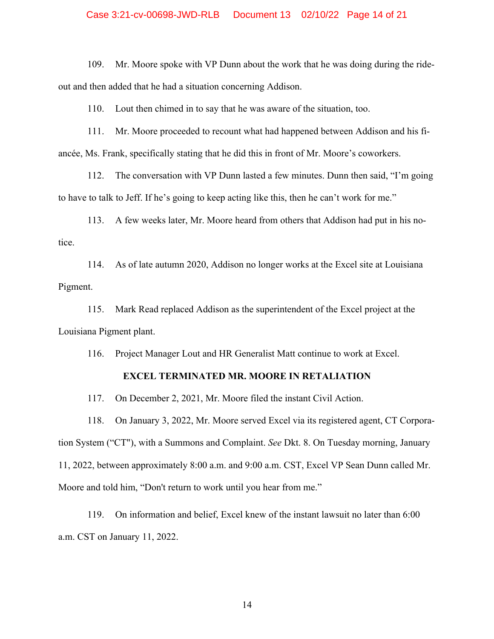### Case 3:21-cv-00698-JWD-RLB Document 13 02/10/22 Page 14 of 21

109. Mr. Moore spoke with VP Dunn about the work that he was doing during the rideout and then added that he had a situation concerning Addison.

110. Lout then chimed in to say that he was aware of the situation, too.

111. Mr. Moore proceeded to recount what had happened between Addison and his fiancée, Ms. Frank, specifically stating that he did this in front of Mr. Moore's coworkers.

112. The conversation with VP Dunn lasted a few minutes. Dunn then said, "I'm going to have to talk to Jeff. If he's going to keep acting like this, then he can't work for me."

113. A few weeks later, Mr. Moore heard from others that Addison had put in his notice.

114. As of late autumn 2020, Addison no longer works at the Excel site at Louisiana Pigment.

115. Mark Read replaced Addison as the superintendent of the Excel project at the Louisiana Pigment plant.

116. Project Manager Lout and HR Generalist Matt continue to work at Excel.

### **EXCEL TERMINATED MR. MOORE IN RETALIATION**

117. On December 2, 2021, Mr. Moore filed the instant Civil Action.

118. On January 3, 2022, Mr. Moore served Excel via its registered agent, CT Corporation System ("CT"), with a Summons and Complaint. *See* Dkt. 8. On Tuesday morning, January 11, 2022, between approximately 8:00 a.m. and 9:00 a.m. CST, Excel VP Sean Dunn called Mr. Moore and told him, "Don't return to work until you hear from me."

119. On information and belief, Excel knew of the instant lawsuit no later than 6:00 a.m. CST on January 11, 2022.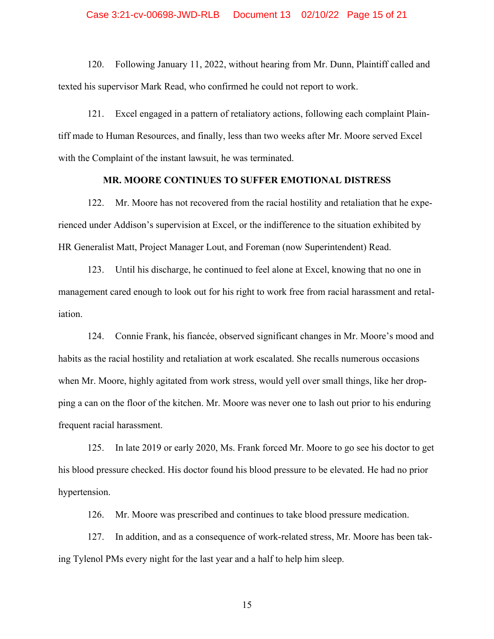#### Case 3:21-cv-00698-JWD-RLB Document 13 02/10/22 Page 15 of 21

120. Following January 11, 2022, without hearing from Mr. Dunn, Plaintiff called and texted his supervisor Mark Read, who confirmed he could not report to work.

121. Excel engaged in a pattern of retaliatory actions, following each complaint Plaintiff made to Human Resources, and finally, less than two weeks after Mr. Moore served Excel with the Complaint of the instant lawsuit, he was terminated.

#### **MR. MOORE CONTINUES TO SUFFER EMOTIONAL DISTRESS**

122. Mr. Moore has not recovered from the racial hostility and retaliation that he experienced under Addison's supervision at Excel, or the indifference to the situation exhibited by HR Generalist Matt, Project Manager Lout, and Foreman (now Superintendent) Read.

123. Until his discharge, he continued to feel alone at Excel, knowing that no one in management cared enough to look out for his right to work free from racial harassment and retaliation.

124. Connie Frank, his fiancée, observed significant changes in Mr. Moore's mood and habits as the racial hostility and retaliation at work escalated. She recalls numerous occasions when Mr. Moore, highly agitated from work stress, would yell over small things, like her dropping a can on the floor of the kitchen. Mr. Moore was never one to lash out prior to his enduring frequent racial harassment.

125. In late 2019 or early 2020, Ms. Frank forced Mr. Moore to go see his doctor to get his blood pressure checked. His doctor found his blood pressure to be elevated. He had no prior hypertension.

126. Mr. Moore was prescribed and continues to take blood pressure medication.

127. In addition, and as a consequence of work-related stress, Mr. Moore has been taking Tylenol PMs every night for the last year and a half to help him sleep.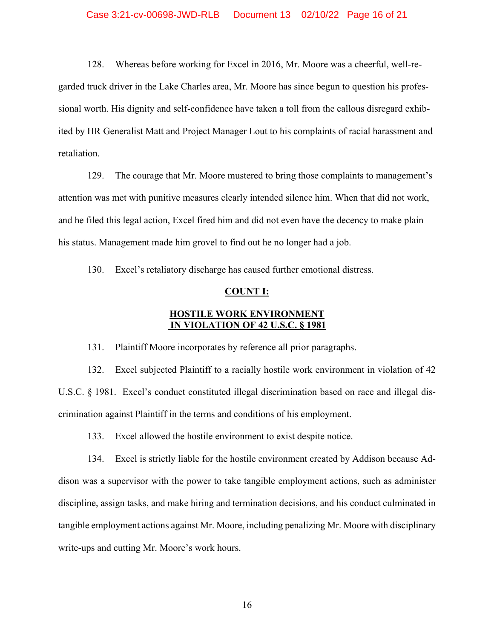#### Case 3:21-cv-00698-JWD-RLB Document 13 02/10/22 Page 16 of 21

128. Whereas before working for Excel in 2016, Mr. Moore was a cheerful, well-regarded truck driver in the Lake Charles area, Mr. Moore has since begun to question his professional worth. His dignity and self-confidence have taken a toll from the callous disregard exhibited by HR Generalist Matt and Project Manager Lout to his complaints of racial harassment and retaliation.

129. The courage that Mr. Moore mustered to bring those complaints to management's attention was met with punitive measures clearly intended silence him. When that did not work, and he filed this legal action, Excel fired him and did not even have the decency to make plain his status. Management made him grovel to find out he no longer had a job.

130. Excel's retaliatory discharge has caused further emotional distress.

#### **COUNT I:**

# **HOSTILE WORK ENVIRONMENT IN VIOLATION OF 42 U.S.C. § 1981**

131. Plaintiff Moore incorporates by reference all prior paragraphs.

132. Excel subjected Plaintiff to a racially hostile work environment in violation of 42 U.S.C. § 1981. Excel's conduct constituted illegal discrimination based on race and illegal discrimination against Plaintiff in the terms and conditions of his employment.

133. Excel allowed the hostile environment to exist despite notice.

134. Excel is strictly liable for the hostile environment created by Addison because Addison was a supervisor with the power to take tangible employment actions, such as administer discipline, assign tasks, and make hiring and termination decisions, and his conduct culminated in tangible employment actions against Mr. Moore, including penalizing Mr. Moore with disciplinary write-ups and cutting Mr. Moore's work hours.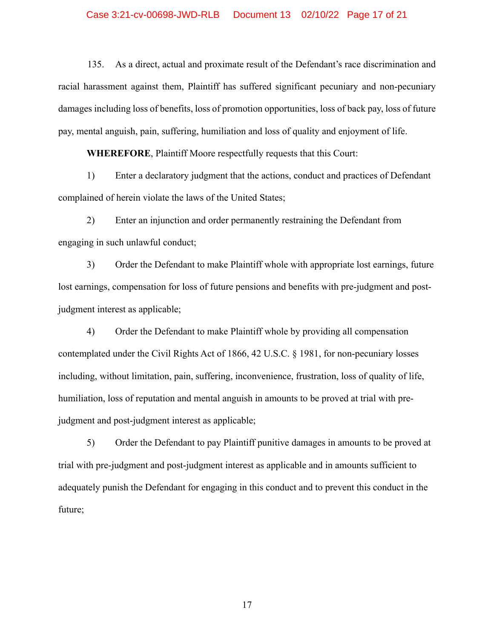#### Case 3:21-cv-00698-JWD-RLB Document 13 02/10/22 Page 17 of 21

135. As a direct, actual and proximate result of the Defendant's race discrimination and racial harassment against them, Plaintiff has suffered significant pecuniary and non-pecuniary damages including loss of benefits, loss of promotion opportunities, loss of back pay, loss of future pay, mental anguish, pain, suffering, humiliation and loss of quality and enjoyment of life.

**WHEREFORE**, Plaintiff Moore respectfully requests that this Court:

1) Enter a declaratory judgment that the actions, conduct and practices of Defendant complained of herein violate the laws of the United States;

2) Enter an injunction and order permanently restraining the Defendant from engaging in such unlawful conduct;

3) Order the Defendant to make Plaintiff whole with appropriate lost earnings, future lost earnings, compensation for loss of future pensions and benefits with pre-judgment and postjudgment interest as applicable;

4) Order the Defendant to make Plaintiff whole by providing all compensation contemplated under the Civil Rights Act of 1866, 42 U.S.C. § 1981, for non-pecuniary losses including, without limitation, pain, suffering, inconvenience, frustration, loss of quality of life, humiliation, loss of reputation and mental anguish in amounts to be proved at trial with prejudgment and post-judgment interest as applicable;

5) Order the Defendant to pay Plaintiff punitive damages in amounts to be proved at trial with pre-judgment and post-judgment interest as applicable and in amounts sufficient to adequately punish the Defendant for engaging in this conduct and to prevent this conduct in the future;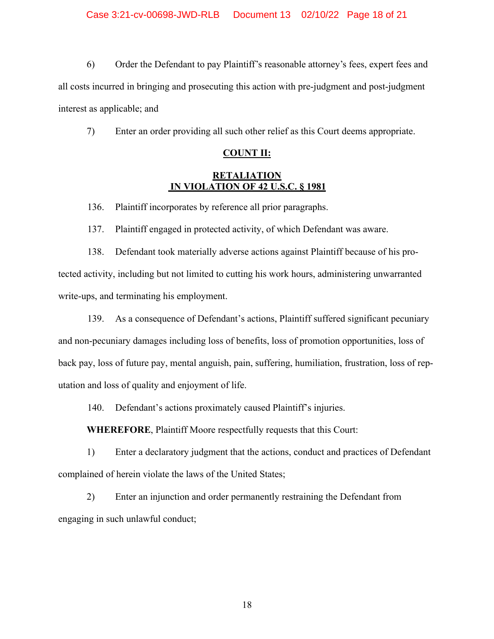6) Order the Defendant to pay Plaintiff's reasonable attorney's fees, expert fees and all costs incurred in bringing and prosecuting this action with pre-judgment and post-judgment interest as applicable; and

7) Enter an order providing all such other relief as this Court deems appropriate.

# **COUNT II:**

# **RETALIATION IN VIOLATION OF 42 U.S.C. § 1981**

136. Plaintiff incorporates by reference all prior paragraphs.

137. Plaintiff engaged in protected activity, of which Defendant was aware.

138. Defendant took materially adverse actions against Plaintiff because of his protected activity, including but not limited to cutting his work hours, administering unwarranted write-ups, and terminating his employment.

139. As a consequence of Defendant's actions, Plaintiff suffered significant pecuniary and non-pecuniary damages including loss of benefits, loss of promotion opportunities, loss of back pay, loss of future pay, mental anguish, pain, suffering, humiliation, frustration, loss of reputation and loss of quality and enjoyment of life.

140. Defendant's actions proximately caused Plaintiff's injuries.

**WHEREFORE**, Plaintiff Moore respectfully requests that this Court:

1) Enter a declaratory judgment that the actions, conduct and practices of Defendant complained of herein violate the laws of the United States;

2) Enter an injunction and order permanently restraining the Defendant from engaging in such unlawful conduct;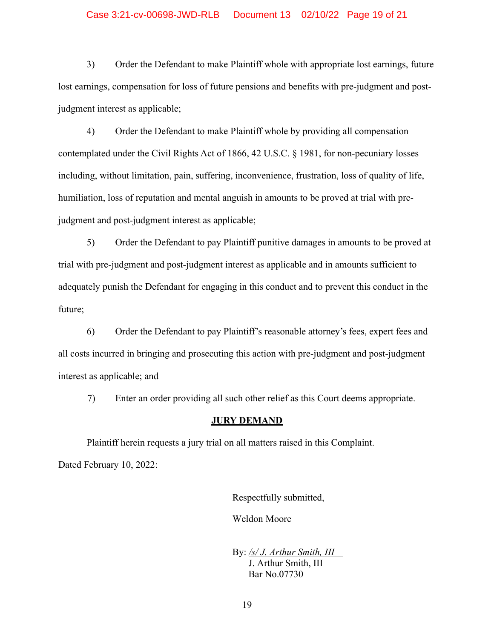### Case 3:21-cv-00698-JWD-RLB Document 13 02/10/22 Page 19 of 21

3) Order the Defendant to make Plaintiff whole with appropriate lost earnings, future lost earnings, compensation for loss of future pensions and benefits with pre-judgment and postjudgment interest as applicable;

4) Order the Defendant to make Plaintiff whole by providing all compensation contemplated under the Civil Rights Act of 1866, 42 U.S.C. § 1981, for non-pecuniary losses including, without limitation, pain, suffering, inconvenience, frustration, loss of quality of life, humiliation, loss of reputation and mental anguish in amounts to be proved at trial with prejudgment and post-judgment interest as applicable;

5) Order the Defendant to pay Plaintiff punitive damages in amounts to be proved at trial with pre-judgment and post-judgment interest as applicable and in amounts sufficient to adequately punish the Defendant for engaging in this conduct and to prevent this conduct in the future;

6) Order the Defendant to pay Plaintiff's reasonable attorney's fees, expert fees and all costs incurred in bringing and prosecuting this action with pre-judgment and post-judgment interest as applicable; and

7) Enter an order providing all such other relief as this Court deems appropriate.

#### **JURY DEMAND**

Plaintiff herein requests a jury trial on all matters raised in this Complaint. Dated February 10, 2022:

Respectfully submitted,

Weldon Moore

By: */s/ J. Arthur Smith, III* J. Arthur Smith, III Bar No.07730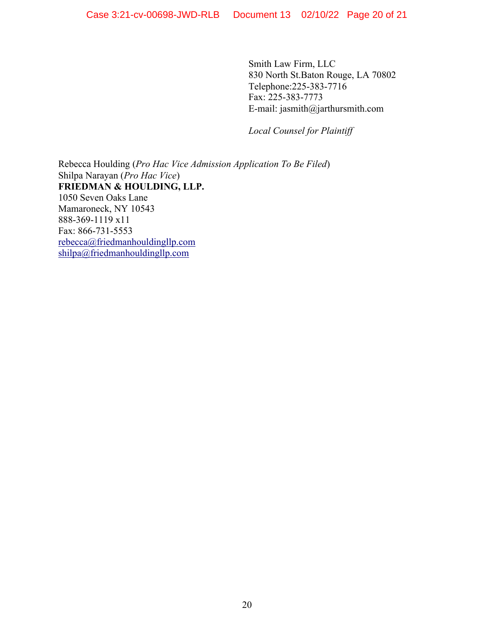Smith Law Firm, LLC 830 North St.Baton Rouge, LA 70802 Telephone:225-383-7716 Fax: 225-383-7773 E-mail: jasmith@jarthursmith.com

*Local Counsel for Plaintiff*

Rebecca Houlding (*Pro Hac Vice Admission Application To Be Filed*) Shilpa Narayan (*Pro Hac Vice*) **FRIEDMAN & HOULDING, LLP.** 1050 Seven Oaks Lane Mamaroneck, NY 10543 888-369-1119 x11 Fax: 866-731-5553 rebecca@friedmanhouldingllp.com shilpa@friedmanhouldingllp.com